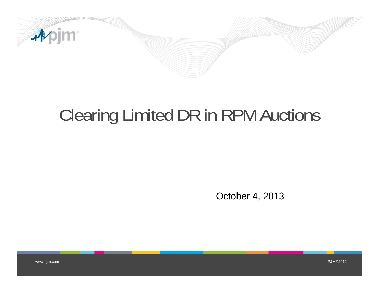

## Clearing Limited DR in RPM Auctions

October 4, 2013

www.pjm.com PJM©2012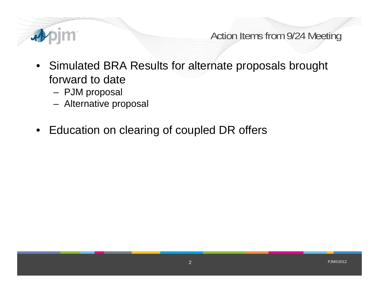

Action Items from 9/24 Meeting

- Simulated BRA Results for alternate proposals brought forward to date
	- –PJM proposal
	- –Alternative proposal
- Education on clearing of coupled DR offers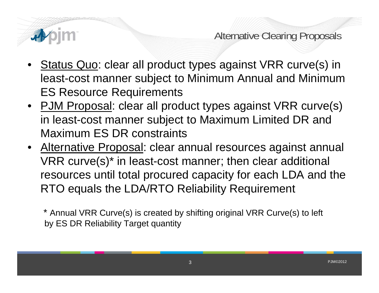

Alternative Clearing Proposals

- •Status Quo: clear all product types against VRR curve(s) in least-cost manner subject to Minimum Annual and Minimum ES Resource Requirements
- PJM Proposal: clear all product types against VRR curve(s) in least-cost manner subject to Maximum Limited DR and Maximum ES DR constraints
- Alternative Proposal: clear annual resources against annual VRR curve(s)\* in least-cost manner; then clear additional resources until total procured capacity for each LDA and the RTO equals the LDA/RTO Reliability Requirement

\* Annual VRR Curve(s) is created by shifting original VRR Curve(s) to left by ES DR Reliability Target quantity

3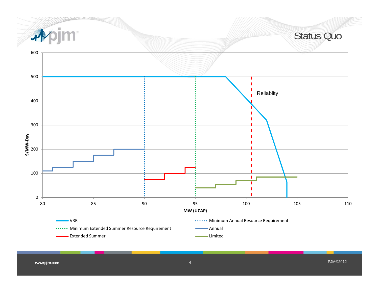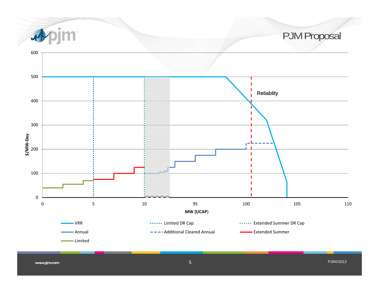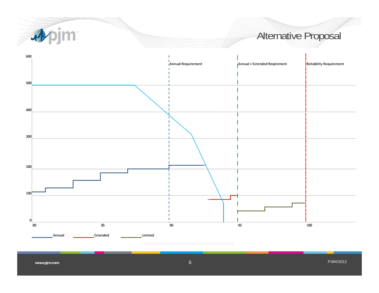

## Alternative Proposal

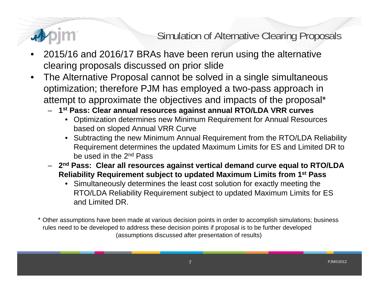

Simulation of Alternative Clearing Proposals

- • 2015/16 and 2016/17 BRAs have been rerun using the alternative clearing proposals discussed on prior slide
- • The Alternative Proposal cannot be solved in a single simultaneous optimization; therefore PJM has employed a two-pass approach in attempt to approximate the objectives and impacts of the proposal\*
	- **1st Pass: Clear annual resources against annual RTO/LDA VRR curves**
		- Optimization determines new Minimum Requirement for Annual Resources based on sloped Annual VRR Curve
		- Subtracting the new Minimum Annual Requirement from the RTO/LDA Reliability Requirement determines the updated Maximum Limits for ES and Limited DR to be used in the 2nd Pass
	- **2nd Pass: Clear all resources against vertical demand curve equal to RTO/LDA Reliability Requirement subject to updated Maximum Limits from 1st Pass**
		- Simultaneously determines the least cost solution for exactly meeting the RTO/LDA Reliability Requirement subject to updated Maximum Limits for ES and Limited DR.

Other assumptions have been made at various decision points in order to accomplish simulations; business rules need to be developed to address these decision points if proposal is to be further developed (assumptions discussed after presentation of results)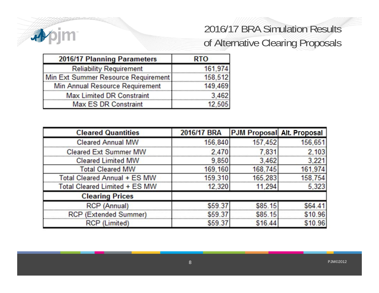

## 2016/17 BRA Simulation Results of Alternative Clearing Proposals

| 2016/17 Planning Parameters         | <b>RTO</b> |
|-------------------------------------|------------|
| <b>Reliability Requirement</b>      | 161,974    |
| Min Ext Summer Resource Requirement | 158,512    |
| Min Annual Resource Requirement     | 149,469    |
| <b>Max Limited DR Constraint</b>    | 3.462      |
| Max ES DR Constraint                | 12,505     |

| <b>Cleared Quantities</b>     | 2016/17 BRA | <b>PJM Proposal Alt. Proposal</b> |         |
|-------------------------------|-------------|-----------------------------------|---------|
| <b>Cleared Annual MW</b>      | 156,840     | 157,452                           | 156,651 |
| <b>Cleared Ext Summer MW</b>  | 2.470       | 7.831                             | 2.103   |
| <b>Cleared Limited MW</b>     | 9,850       | 3,462                             | 3,221   |
| <b>Total Cleared MW</b>       | 169,160     | 168,745                           | 161,974 |
| Total Cleared Annual + ES MW  | 159,310     | 165,283                           |         |
| Total Cleared Limited + ES MW | 12,320      | 11.294                            | 5,323   |
| <b>Clearing Prices</b>        |             |                                   |         |
| RCP (Annual)                  | \$59.37     | \$85.15                           |         |
| <b>RCP (Extended Summer)</b>  | \$59.37     | \$85.15                           | 96      |
| <b>RCP</b> (Limited)          | \$59.37     | \$16.44                           | .96     |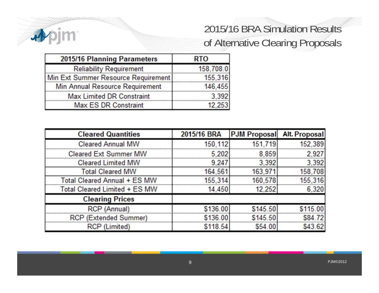

## 2015/16 BRA Simulation Results of Alternative Clearing Proposals

| 2015/16 Planning Parameters         | <b>RTO</b> |
|-------------------------------------|------------|
| <b>Reliability Requirement</b>      | 158,708.0  |
| Min Ext Summer Resource Requirement | 155,316    |
| Min Annual Resource Requirement     | 146,455    |
| <b>Max Limited DR Constraint</b>    | 3.392      |
| <b>Max ES DR Constraint</b>         | 12.253     |

| <b>Cleared Quantities</b>     | 2015/16 BRA | <b>PJM Proposal</b> | <b>Alt. Proposal</b> |
|-------------------------------|-------------|---------------------|----------------------|
| <b>Cleared Annual MW</b>      | 150,112     | 151,719             | 152.389              |
| <b>Cleared Ext Summer MW</b>  | 5.202       | 8.859               | 2.927                |
| <b>Cleared Limited MW</b>     | 9,247       | 3,392               | 3,392                |
| <b>Total Cleared MW</b>       | 164,561     | 163,971             | 158,708              |
| Total Cleared Annual + ES MW  | 155,314     | 160,578             | 155.316              |
| Total Cleared Limited + ES MW | 14,450      | 12,252              | 6,320                |
| <b>Clearing Prices</b>        |             |                     |                      |
| RCP (Annual)                  | \$136.00    | \$145.50            | \$115.00             |
| <b>RCP</b> (Extended Summer)  | \$136.00    | \$145.50            | \$84 72              |
| RCP (Limited)                 | \$118.54    | \$54.00             | \$43.62              |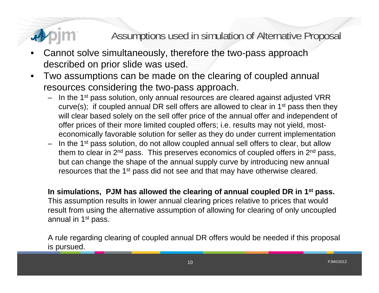## Assumptions used in simulation of Alternative Proposal

- • Cannot solve simultaneously, therefore the two-pass approach described on prior slide was used.
- • Two assumptions can be made on the clearing of coupled annual resources considering the two-pass approach.
	- In the 1<sup>st</sup> pass solution, only annual resources are cleared against adjusted VRR curve(s); if coupled annual DR sell offers are allowed to clear in  $1<sup>st</sup>$  pass then they will clear based solely on the sell offer price of the annual offer and independent of offer prices of their more limited coupled offers; i.e. results may not yield, mosteconomically favorable solution for seller as they do under current implementation
	- In the 1st pass solution, do not allow coupled annual sell offers to clear, but allow them to clear in  $2<sup>nd</sup>$  pass. This preserves economics of coupled offers in  $2<sup>nd</sup>$  pass, but can change the shape of the annual supply curve by introducing new annual resources that the 1<sup>st</sup> pass did not see and that may have otherwise cleared.

**In simulations, PJM has allowed the clearing of annual coupled DR in 1st pass.**  This assumption results in lower annual clearing prices relative to prices that would result from using the alternative assumption of allowing for clearing of only uncoupled annual in 1st pass.

A rule regarding clearing of coupled annual DR offers would be needed if this proposal is pursued.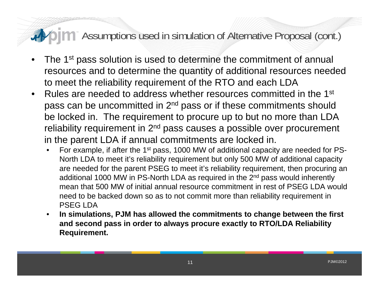### **The Assumptions used in simulation of Alternative Proposal (cont.)** 君の

- •The 1<sup>st</sup> pass solution is used to determine the commitment of annual resources and to determine the quantity of additional resources needed to meet the reliability requirement of the RTO and each LDA
- $\bullet$  Rules are needed to address whether resources committed in the 1st pass can be uncommitted in 2nd pass or if these commitments should be locked in. The requirement to procure up to but no more than LDA reliability requirement in 2<sup>nd</sup> pass causes a possible over procurement in the parent LDA if annual commitments are locked in.
	- •For example, if after the 1<sup>st</sup> pass, 1000 MW of additional capacity are needed for PS-North LDA to meet it's reliability requirement but only 500 MW of additional capacity are needed for the parent PSEG to meet it's reliability requirement, then procuring an additional 1000 MW in PS-North LDA as required in the 2<sup>nd</sup> pass would inherently mean that 500 MW of initial annual resource commitment in rest of PSEG LDA would need to be backed down so as to not commit more than reliability requirement in PSEG LDA
	- $\bullet$  **In simulations, PJM has allowed the commitments to change between the first and second pass in order to always procure exactly to RTO/LDA Reliability Requirement.**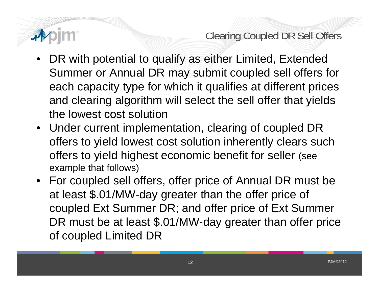

Clearing Coupled DR Sell Offers

- • DR with potential to qualify as either Limited, Extended Summer or Annual DR may submit coupled sell offers for each capacity type for which it qualifies at different prices and clearing algorithm will select the sell offer that yields the lowest cost solution
- Under current implementation, clearing of coupled DR offers to yield lowest cost solution inherently clears such offers to yield highest economic benefit for seller (see example that follows)
- For coupled sell offers, offer price of Annual DR must be at least \$.01/MW-day greater than the offer price of coupled Ext Summer DR; and offer price of Ext Summer DR must be at least \$.01/MW-day greater than offer price of coupled Limited DR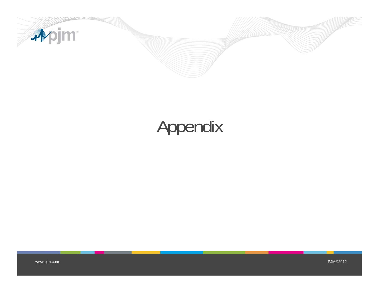

# Appendix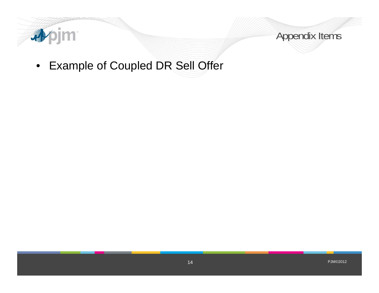



• Example of Coupled DR Sell Offer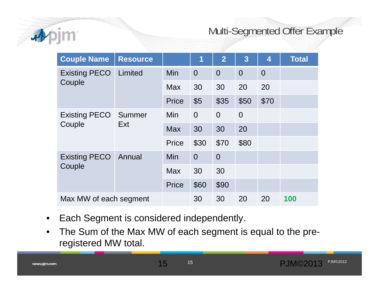

### Multi-Segmented Offer Example

| <b>Couple Name</b>             | <b>Resource</b> |              | 1              | $\overline{2}$ | $\overline{3}$ | 4              | <b>Total</b> |
|--------------------------------|-----------------|--------------|----------------|----------------|----------------|----------------|--------------|
| <b>Existing PECO</b>           | Limited         | Min          | $\overline{0}$ | $\overline{0}$ | $\overline{0}$ | $\overline{0}$ |              |
| Couple                         |                 | <b>Max</b>   | 30             | 30             | 20             | 20             |              |
|                                |                 | <b>Price</b> | \$5            | \$35           | \$50           | \$70           |              |
| <b>Existing PECO</b>           | Summer<br>Ext   | Min          | $\overline{0}$ | $\overline{0}$ | $\overline{0}$ |                |              |
| Couple                         |                 | <b>Max</b>   | 30             | 30             | 20             |                |              |
|                                |                 | <b>Price</b> | \$30           | \$70           | \$80           |                |              |
| <b>Existing PECO</b><br>Couple | Annual          | Min          | $\overline{0}$ | $\overline{0}$ |                |                |              |
|                                |                 | <b>Max</b>   | 30             | 30             |                |                |              |
|                                |                 | <b>Price</b> | \$60           | \$90           |                |                |              |
| Max MW of each segment         |                 | 30           | 30             | 20             | 20             | 100            |              |

- $\bullet$ Each Segment is considered independently.
- • The Sum of the Max MW of each segment is equal to the preregistered MW total.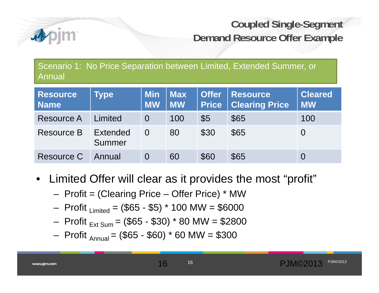

## **Coupled Single-Segment Demand Resource Offer Example**

Scenario 1: No Price Separation between Limited, Extended Summer, or Annual

| <b>Resource</b><br><b>Name</b> | <b>Type</b>        | <b>Min</b><br><b>MW</b> | <b>Max</b><br><b>MW</b> | <b>Offer</b><br><b>Price</b> | <b>Resource</b><br><b>Clearing Price</b> | <b>Cleared</b><br><b>MW</b> |
|--------------------------------|--------------------|-------------------------|-------------------------|------------------------------|------------------------------------------|-----------------------------|
| <b>Resource A</b>              | Limited            | $\Omega$                | 100                     | $\sqrt{5}$                   | \$65                                     | 100                         |
| Resource B                     | Extended<br>Summer |                         | 80                      | \$30                         | \$65                                     | O                           |
| Resource C                     | Annual             |                         | 60                      | \$60                         | \$65                                     | Ô                           |

- Limited Offer will clear as it provides the most "profit"
	- Profit = (Clearing Price Offer Price) \* MW
	- Profit  $_{Limited} = ($65 $5) * 100 MW = $6000$
	- Profit  $_{\text{Ext Sum}}$  = (\$65 \$30) \* 80 MW = \$2800
	- Profit  $_{\text{Annual}}$  = (\$65 \$60) \* 60 MW = \$300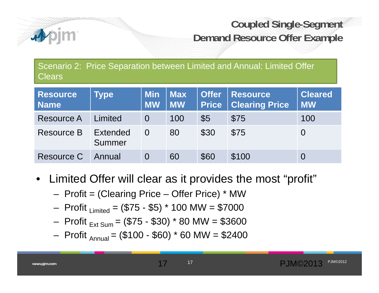

## **Coupled Single-Segment Demand Resource Offer Example**

Scenario 2: Price Separation between Limited and Annual: Limited Offer **Clears** 

| <b>Resource</b><br><b>Name</b> | <b>Type</b>        | <b>Min</b><br><b>MW</b> | <b>Max</b><br><b>MW</b> | <b>Offer</b><br><b>Price</b> | <b>Resource</b><br><b>Clearing Price</b> | <b>Cleared</b><br><b>MW</b> |
|--------------------------------|--------------------|-------------------------|-------------------------|------------------------------|------------------------------------------|-----------------------------|
| <b>Resource A</b>              | Limited            |                         | 100                     | $\sqrt{5}$                   | \$75                                     | 100                         |
| Resource B                     | Extended<br>Summer |                         | 80                      | \$30                         | \$75                                     | $\Omega$                    |
| <b>Resource C</b>              | Annual             |                         | 60                      | \$60                         | \$100                                    | $\overline{O}$              |

- Limited Offer will clear as it provides the most "profit"
	- Profit = (Clearing Price Offer Price) \* MW
	- Profit  $_{Limited} = ($75 $5) * 100 MW = $7000$
	- Profit  $_{\text{Ext Sum}}$  = (\$75 \$30) \* 80 MW = \$3600
	- Profit  $_{\text{Annual}}$  = (\$100 \$60) \* 60 MW = \$2400